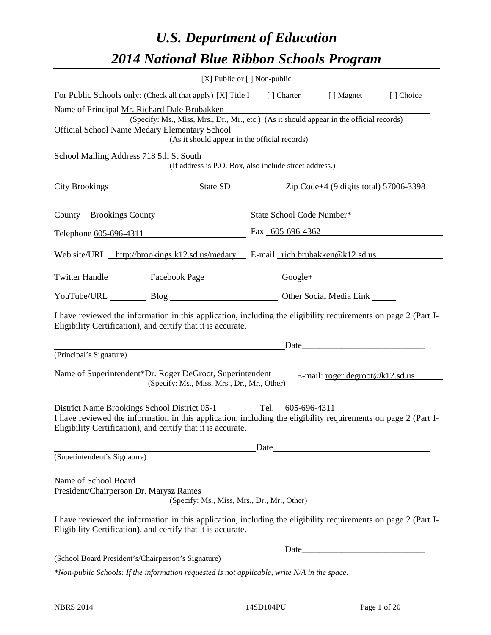# *U.S. Department of Education 2014 National Blue Ribbon Schools Program*

|                                                                                                                                                                                                                                                  | [X] Public or [] Non-public |                                                        |      |            |  |  |  |
|--------------------------------------------------------------------------------------------------------------------------------------------------------------------------------------------------------------------------------------------------|-----------------------------|--------------------------------------------------------|------|------------|--|--|--|
| For Public Schools only: (Check all that apply) [X] Title I [] Charter [] Magnet                                                                                                                                                                 |                             |                                                        |      | [ ] Choice |  |  |  |
| Name of Principal Mr. Richard Dale Brubakken<br>(Specify: Ms., Miss, Mrs., Dr., Mr., etc.) (As it should appear in the official records)<br>Official School Name Medary Elementary School                                                        |                             |                                                        |      |            |  |  |  |
|                                                                                                                                                                                                                                                  |                             | (As it should appear in the official records)          |      |            |  |  |  |
| School Mailing Address 718 5th St South                                                                                                                                                                                                          |                             | (If address is P.O. Box, also include street address.) |      |            |  |  |  |
| City Brookings State SD State SD Zip Code+4 (9 digits total) 57006-3398                                                                                                                                                                          |                             |                                                        |      |            |  |  |  |
| County Brookings County State School Code Number*                                                                                                                                                                                                |                             |                                                        |      |            |  |  |  |
| Telephone 605-696-4311 Fax 605-696-4362                                                                                                                                                                                                          |                             |                                                        |      |            |  |  |  |
| Web site/URL http://brookings.k12.sd.us/medary E-mail rich.brubakken@k12.sd.us                                                                                                                                                                   |                             |                                                        |      |            |  |  |  |
| Twitter Handle ___________ Facebook Page ___________________ Google+ ____________                                                                                                                                                                |                             |                                                        |      |            |  |  |  |
| YouTube/URL Blog Blog Cher Social Media Link                                                                                                                                                                                                     |                             |                                                        |      |            |  |  |  |
| I have reviewed the information in this application, including the eligibility requirements on page 2 (Part I-<br>Eligibility Certification), and certify that it is accurate.                                                                   |                             |                                                        |      |            |  |  |  |
|                                                                                                                                                                                                                                                  |                             |                                                        | Date |            |  |  |  |
| (Principal's Signature)<br>Name of Superintendent*Dr. Roger DeGroot, Superintendent E-mail: roger.degroot@k12.sd.us<br>(Specify: Ms., Miss, Mrs., Dr., Mr., Other)                                                                               |                             |                                                        |      |            |  |  |  |
| District Name Brookings School District 05-1 Tel. 605-696-4311<br>I have reviewed the information in this application, including the eligibility requirements on page 2 (Part I-<br>Eligibility Certification), and certify that it is accurate. |                             |                                                        |      |            |  |  |  |
|                                                                                                                                                                                                                                                  |                             | Date                                                   |      |            |  |  |  |
| (Superintendent's Signature)                                                                                                                                                                                                                     |                             |                                                        |      |            |  |  |  |
| Name of School Board<br>President/Chairperson Dr. Marysz Rames                                                                                                                                                                                   |                             |                                                        |      |            |  |  |  |
|                                                                                                                                                                                                                                                  |                             | (Specify: Ms., Miss, Mrs., Dr., Mr., Other)            |      |            |  |  |  |
| I have reviewed the information in this application, including the eligibility requirements on page 2 (Part I-<br>Eligibility Certification), and certify that it is accurate.                                                                   |                             |                                                        |      |            |  |  |  |
|                                                                                                                                                                                                                                                  |                             | Date                                                   |      |            |  |  |  |
| (School Board President's/Chairperson's Signature)                                                                                                                                                                                               |                             |                                                        |      |            |  |  |  |
| $*$ Non-public Schools: If the information requested is not applicable, write N/A in the space.                                                                                                                                                  |                             |                                                        |      |            |  |  |  |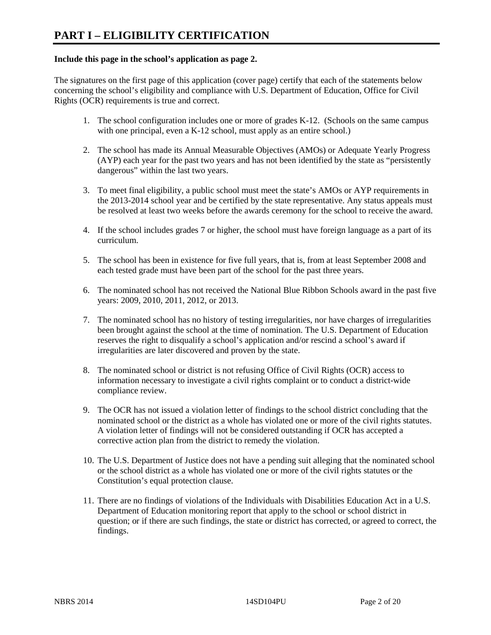# **Include this page in the school's application as page 2.**

The signatures on the first page of this application (cover page) certify that each of the statements below concerning the school's eligibility and compliance with U.S. Department of Education, Office for Civil Rights (OCR) requirements is true and correct.

- 1. The school configuration includes one or more of grades K-12. (Schools on the same campus with one principal, even a K-12 school, must apply as an entire school.)
- 2. The school has made its Annual Measurable Objectives (AMOs) or Adequate Yearly Progress (AYP) each year for the past two years and has not been identified by the state as "persistently dangerous" within the last two years.
- 3. To meet final eligibility, a public school must meet the state's AMOs or AYP requirements in the 2013-2014 school year and be certified by the state representative. Any status appeals must be resolved at least two weeks before the awards ceremony for the school to receive the award.
- 4. If the school includes grades 7 or higher, the school must have foreign language as a part of its curriculum.
- 5. The school has been in existence for five full years, that is, from at least September 2008 and each tested grade must have been part of the school for the past three years.
- 6. The nominated school has not received the National Blue Ribbon Schools award in the past five years: 2009, 2010, 2011, 2012, or 2013.
- 7. The nominated school has no history of testing irregularities, nor have charges of irregularities been brought against the school at the time of nomination. The U.S. Department of Education reserves the right to disqualify a school's application and/or rescind a school's award if irregularities are later discovered and proven by the state.
- 8. The nominated school or district is not refusing Office of Civil Rights (OCR) access to information necessary to investigate a civil rights complaint or to conduct a district-wide compliance review.
- 9. The OCR has not issued a violation letter of findings to the school district concluding that the nominated school or the district as a whole has violated one or more of the civil rights statutes. A violation letter of findings will not be considered outstanding if OCR has accepted a corrective action plan from the district to remedy the violation.
- 10. The U.S. Department of Justice does not have a pending suit alleging that the nominated school or the school district as a whole has violated one or more of the civil rights statutes or the Constitution's equal protection clause.
- 11. There are no findings of violations of the Individuals with Disabilities Education Act in a U.S. Department of Education monitoring report that apply to the school or school district in question; or if there are such findings, the state or district has corrected, or agreed to correct, the findings.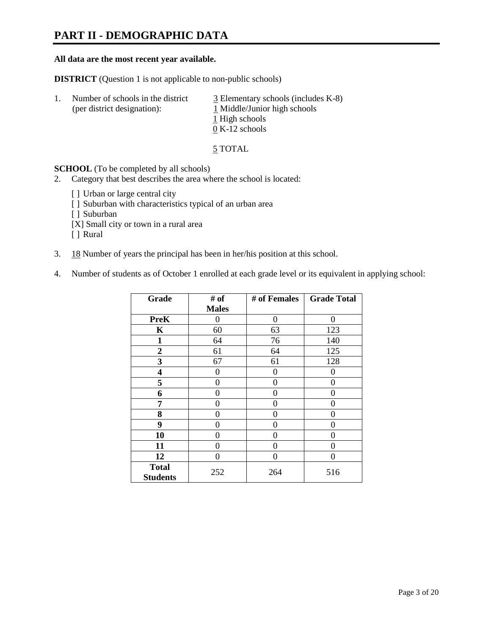# **PART II - DEMOGRAPHIC DATA**

#### **All data are the most recent year available.**

**DISTRICT** (Question 1 is not applicable to non-public schools)

| -1. | Number of schools in the district<br>(per district designation): | $\overline{3}$ Elementary schools (includes K-8)<br>1 Middle/Junior high schools<br>1 High schools |
|-----|------------------------------------------------------------------|----------------------------------------------------------------------------------------------------|
|     |                                                                  | $0 K-12$ schools                                                                                   |

5 TOTAL

**SCHOOL** (To be completed by all schools)

- 2. Category that best describes the area where the school is located:
	- [] Urban or large central city
	- [ ] Suburban with characteristics typical of an urban area
	- [ ] Suburban
	- [X] Small city or town in a rural area
	- [ ] Rural
- 3. 18 Number of years the principal has been in her/his position at this school.
- 4. Number of students as of October 1 enrolled at each grade level or its equivalent in applying school:

| Grade                           | # of         | # of Females | <b>Grade Total</b> |
|---------------------------------|--------------|--------------|--------------------|
|                                 | <b>Males</b> |              |                    |
| <b>PreK</b>                     | 0            | $\theta$     | $\Omega$           |
| K                               | 60           | 63           | 123                |
| $\mathbf{1}$                    | 64           | 76           | 140                |
| $\overline{2}$                  | 61           | 64           | 125                |
| 3                               | 67           | 61           | 128                |
| 4                               | 0            | 0            | 0                  |
| 5                               | 0            | 0            | 0                  |
| 6                               | 0            | 0            | 0                  |
| 7                               | 0            | 0            | 0                  |
| 8                               | 0            | 0            | 0                  |
| 9                               | 0            | 0            | 0                  |
| 10                              | 0            | 0            | 0                  |
| 11                              | 0            | 0            | 0                  |
| 12                              | 0            | 0            | 0                  |
| <b>Total</b><br><b>Students</b> | 252          | 264          | 516                |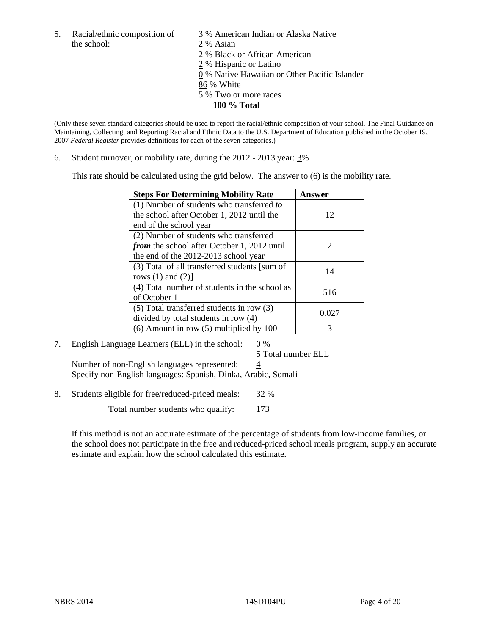5. Racial/ethnic composition of  $\frac{3}{9}$ % American Indian or Alaska Native the school: 2 % Asian

 2 % Black or African American 2 % Hispanic or Latino 0 % Native Hawaiian or Other Pacific Islander 86 % White 5 % Two or more races **100 % Total** 

(Only these seven standard categories should be used to report the racial/ethnic composition of your school. The Final Guidance on Maintaining, Collecting, and Reporting Racial and Ethnic Data to the U.S. Department of Education published in the October 19, 2007 *Federal Register* provides definitions for each of the seven categories.)

6. Student turnover, or mobility rate, during the 2012 - 2013 year: 3%

This rate should be calculated using the grid below. The answer to (6) is the mobility rate.

| <b>Steps For Determining Mobility Rate</b>         | Answer        |
|----------------------------------------------------|---------------|
| (1) Number of students who transferred to          |               |
| the school after October 1, 2012 until the         | 12            |
| end of the school year                             |               |
| (2) Number of students who transferred             |               |
| <i>from</i> the school after October 1, 2012 until | $\mathcal{D}$ |
| the end of the 2012-2013 school year               |               |
| (3) Total of all transferred students [sum of      | 14            |
| rows $(1)$ and $(2)$ ]                             |               |
| (4) Total number of students in the school as      | 516           |
| of October 1                                       |               |
| $(5)$ Total transferred students in row $(3)$      | 0.027         |
| divided by total students in row (4)               |               |
| $(6)$ Amount in row $(5)$ multiplied by 100        | 3             |

# 7. English Language Learners (ELL) in the school:  $0\%$

 5 Total number ELL Number of non-English languages represented:  $\frac{4}{5}$ Specify non-English languages: Spanish, Dinka, Arabic, Somali

8. Students eligible for free/reduced-priced meals: 32 %

Total number students who qualify: 173

If this method is not an accurate estimate of the percentage of students from low-income families, or the school does not participate in the free and reduced-priced school meals program, supply an accurate estimate and explain how the school calculated this estimate.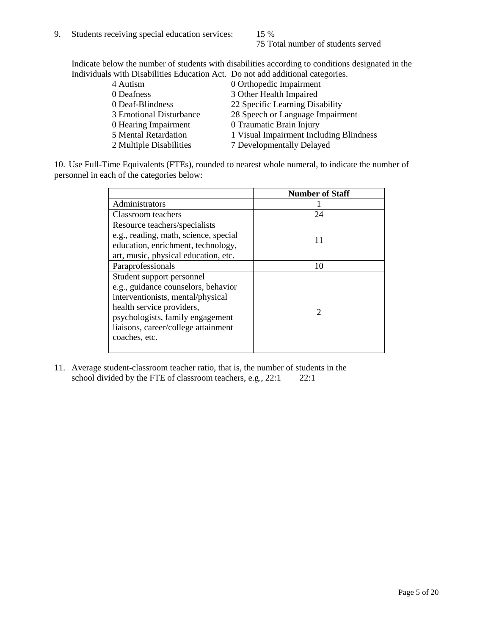75 Total number of students served

Indicate below the number of students with disabilities according to conditions designated in the Individuals with Disabilities Education Act. Do not add additional categories.

| 4 Autism                | 0 Orthopedic Impairment                 |
|-------------------------|-----------------------------------------|
| 0 Deafness              | 3 Other Health Impaired                 |
| 0 Deaf-Blindness        | 22 Specific Learning Disability         |
| 3 Emotional Disturbance | 28 Speech or Language Impairment        |
| 0 Hearing Impairment    | 0 Traumatic Brain Injury                |
| 5 Mental Retardation    | 1 Visual Impairment Including Blindness |
| 2 Multiple Disabilities | 7 Developmentally Delayed               |
|                         |                                         |

10. Use Full-Time Equivalents (FTEs), rounded to nearest whole numeral, to indicate the number of personnel in each of the categories below:

|                                       | <b>Number of Staff</b> |
|---------------------------------------|------------------------|
| Administrators                        |                        |
| Classroom teachers                    | 24                     |
| Resource teachers/specialists         |                        |
| e.g., reading, math, science, special | 11                     |
| education, enrichment, technology,    |                        |
| art, music, physical education, etc.  |                        |
| Paraprofessionals                     | 10                     |
| Student support personnel             |                        |
| e.g., guidance counselors, behavior   |                        |
| interventionists, mental/physical     |                        |
| health service providers,             |                        |
| psychologists, family engagement      |                        |
| liaisons, career/college attainment   |                        |
| coaches, etc.                         |                        |
|                                       |                        |

11. Average student-classroom teacher ratio, that is, the number of students in the school divided by the FTE of classroom teachers, e.g.,  $22:1$   $22:1$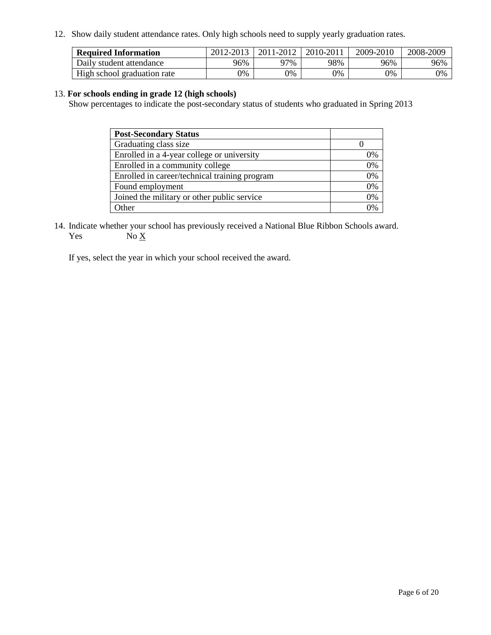12. Show daily student attendance rates. Only high schools need to supply yearly graduation rates.

| <b>Required Information</b> | 2012-2013 | 2011-2012 | 2010-2011 | 2009-2010 | 2008-2009 |
|-----------------------------|-----------|-----------|-----------|-----------|-----------|
| Daily student attendance    | 96%       | 97%       | 98%       | 96%       | 96%       |
| High school graduation rate | 9%        | 0%        | 0%        | 0%        | 0%        |

## 13. **For schools ending in grade 12 (high schools)**

Show percentages to indicate the post-secondary status of students who graduated in Spring 2013

| <b>Post-Secondary Status</b>                  |    |
|-----------------------------------------------|----|
| Graduating class size                         |    |
| Enrolled in a 4-year college or university    | 0% |
| Enrolled in a community college               | 0% |
| Enrolled in career/technical training program | 0% |
| Found employment                              | 0% |
| Joined the military or other public service   | 0% |
| <b>Other</b>                                  | 2% |

14. Indicate whether your school has previously received a National Blue Ribbon Schools award. Yes  $No \underline{X}$ 

If yes, select the year in which your school received the award.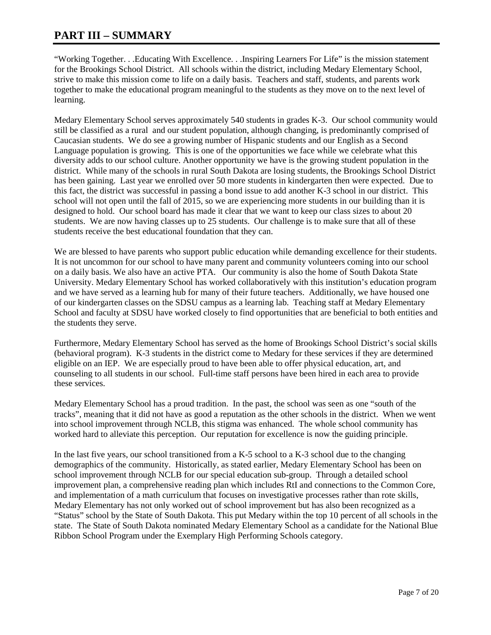# **PART III – SUMMARY**

"Working Together. . .Educating With Excellence. . .Inspiring Learners For Life" is the mission statement for the Brookings School District. All schools within the district, including Medary Elementary School, strive to make this mission come to life on a daily basis. Teachers and staff, students, and parents work together to make the educational program meaningful to the students as they move on to the next level of learning.

Medary Elementary School serves approximately 540 students in grades K-3. Our school community would still be classified as a rural and our student population, although changing, is predominantly comprised of Caucasian students. We do see a growing number of Hispanic students and our English as a Second Language population is growing. This is one of the opportunities we face while we celebrate what this diversity adds to our school culture. Another opportunity we have is the growing student population in the district. While many of the schools in rural South Dakota are losing students, the Brookings School District has been gaining. Last year we enrolled over 50 more students in kindergarten then were expected. Due to this fact, the district was successful in passing a bond issue to add another K-3 school in our district. This school will not open until the fall of 2015, so we are experiencing more students in our building than it is designed to hold. Our school board has made it clear that we want to keep our class sizes to about 20 students. We are now having classes up to 25 students. Our challenge is to make sure that all of these students receive the best educational foundation that they can.

We are blessed to have parents who support public education while demanding excellence for their students. It is not uncommon for our school to have many parent and community volunteers coming into our school on a daily basis. We also have an active PTA. Our community is also the home of South Dakota State University. Medary Elementary School has worked collaboratively with this institution's education program and we have served as a learning hub for many of their future teachers. Additionally, we have housed one of our kindergarten classes on the SDSU campus as a learning lab. Teaching staff at Medary Elementary School and faculty at SDSU have worked closely to find opportunities that are beneficial to both entities and the students they serve.

Furthermore, Medary Elementary School has served as the home of Brookings School District's social skills (behavioral program). K-3 students in the district come to Medary for these services if they are determined eligible on an IEP. We are especially proud to have been able to offer physical education, art, and counseling to all students in our school. Full-time staff persons have been hired in each area to provide these services.

Medary Elementary School has a proud tradition. In the past, the school was seen as one "south of the tracks", meaning that it did not have as good a reputation as the other schools in the district. When we went into school improvement through NCLB, this stigma was enhanced. The whole school community has worked hard to alleviate this perception. Our reputation for excellence is now the guiding principle.

In the last five years, our school transitioned from a K-5 school to a K-3 school due to the changing demographics of the community. Historically, as stated earlier, Medary Elementary School has been on school improvement through NCLB for our special education sub-group. Through a detailed school improvement plan, a comprehensive reading plan which includes RtI and connections to the Common Core, and implementation of a math curriculum that focuses on investigative processes rather than rote skills, Medary Elementary has not only worked out of school improvement but has also been recognized as a "Status" school by the State of South Dakota. This put Medary within the top 10 percent of all schools in the state. The State of South Dakota nominated Medary Elementary School as a candidate for the National Blue Ribbon School Program under the Exemplary High Performing Schools category.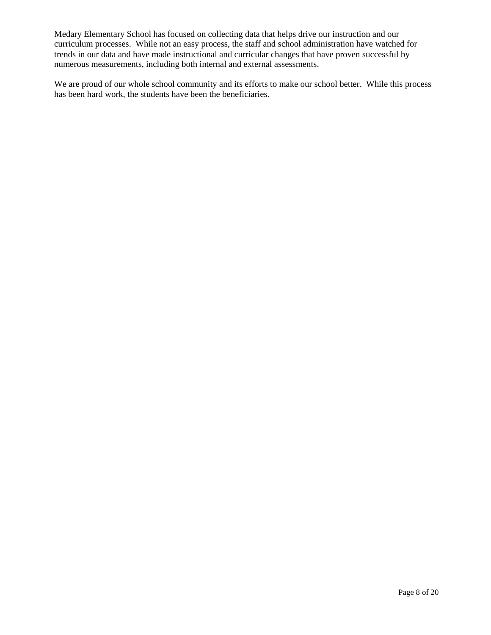Medary Elementary School has focused on collecting data that helps drive our instruction and our curriculum processes. While not an easy process, the staff and school administration have watched for trends in our data and have made instructional and curricular changes that have proven successful by numerous measurements, including both internal and external assessments.

We are proud of our whole school community and its efforts to make our school better. While this process has been hard work, the students have been the beneficiaries.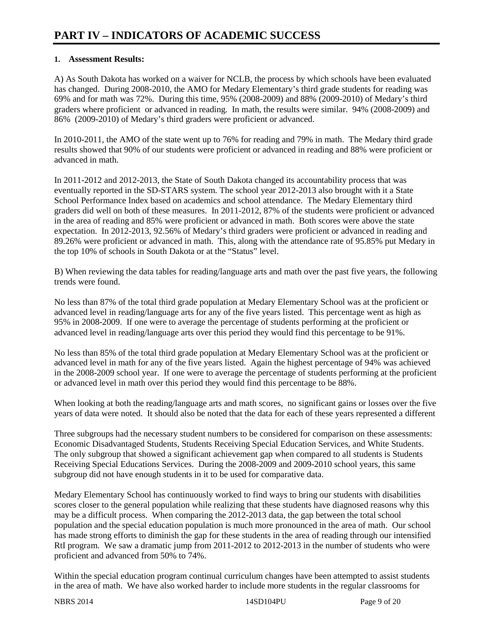# **1. Assessment Results:**

A) As South Dakota has worked on a waiver for NCLB, the process by which schools have been evaluated has changed. During 2008-2010, the AMO for Medary Elementary's third grade students for reading was 69% and for math was 72%. During this time, 95% (2008-2009) and 88% (2009-2010) of Medary's third graders where proficient or advanced in reading. In math, the results were similar. 94% (2008-2009) and 86% (2009-2010) of Medary's third graders were proficient or advanced.

In 2010-2011, the AMO of the state went up to 76% for reading and 79% in math. The Medary third grade results showed that 90% of our students were proficient or advanced in reading and 88% were proficient or advanced in math.

In 2011-2012 and 2012-2013, the State of South Dakota changed its accountability process that was eventually reported in the SD-STARS system. The school year 2012-2013 also brought with it a State School Performance Index based on academics and school attendance. The Medary Elementary third graders did well on both of these measures. In 2011-2012, 87% of the students were proficient or advanced in the area of reading and 85% were proficient or advanced in math. Both scores were above the state expectation. In 2012-2013, 92.56% of Medary's third graders were proficient or advanced in reading and 89.26% were proficient or advanced in math. This, along with the attendance rate of 95.85% put Medary in the top 10% of schools in South Dakota or at the "Status" level.

B) When reviewing the data tables for reading/language arts and math over the past five years, the following trends were found.

No less than 87% of the total third grade population at Medary Elementary School was at the proficient or advanced level in reading/language arts for any of the five years listed. This percentage went as high as 95% in 2008-2009. If one were to average the percentage of students performing at the proficient or advanced level in reading/language arts over this period they would find this percentage to be 91%.

No less than 85% of the total third grade population at Medary Elementary School was at the proficient or advanced level in math for any of the five years listed. Again the highest percentage of 94% was achieved in the 2008-2009 school year. If one were to average the percentage of students performing at the proficient or advanced level in math over this period they would find this percentage to be 88%.

When looking at both the reading/language arts and math scores, no significant gains or losses over the five years of data were noted. It should also be noted that the data for each of these years represented a different

Three subgroups had the necessary student numbers to be considered for comparison on these assessments: Economic Disadvantaged Students, Students Receiving Special Education Services, and White Students. The only subgroup that showed a significant achievement gap when compared to all students is Students Receiving Special Educations Services. During the 2008-2009 and 2009-2010 school years, this same subgroup did not have enough students in it to be used for comparative data.

Medary Elementary School has continuously worked to find ways to bring our students with disabilities scores closer to the general population while realizing that these students have diagnosed reasons why this may be a difficult process. When comparing the 2012-2013 data, the gap between the total school population and the special education population is much more pronounced in the area of math. Our school has made strong efforts to diminish the gap for these students in the area of reading through our intensified RtI program. We saw a dramatic jump from 2011-2012 to 2012-2013 in the number of students who were proficient and advanced from 50% to 74%.

Within the special education program continual curriculum changes have been attempted to assist students in the area of math. We have also worked harder to include more students in the regular classrooms for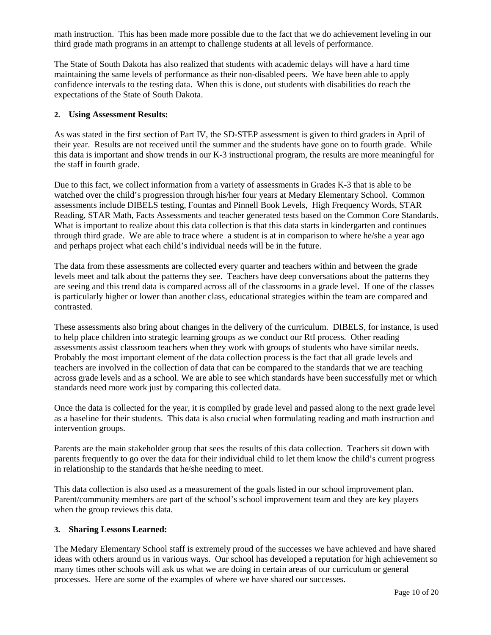math instruction. This has been made more possible due to the fact that we do achievement leveling in our third grade math programs in an attempt to challenge students at all levels of performance.

The State of South Dakota has also realized that students with academic delays will have a hard time maintaining the same levels of performance as their non-disabled peers. We have been able to apply confidence intervals to the testing data. When this is done, out students with disabilities do reach the expectations of the State of South Dakota.

## **2. Using Assessment Results:**

As was stated in the first section of Part IV, the SD-STEP assessment is given to third graders in April of their year. Results are not received until the summer and the students have gone on to fourth grade. While this data is important and show trends in our K-3 instructional program, the results are more meaningful for the staff in fourth grade.

Due to this fact, we collect information from a variety of assessments in Grades K-3 that is able to be watched over the child's progression through his/her four years at Medary Elementary School. Common assessments include DIBELS testing, Fountas and Pinnell Book Levels, High Frequency Words, STAR Reading, STAR Math, Facts Assessments and teacher generated tests based on the Common Core Standards. What is important to realize about this data collection is that this data starts in kindergarten and continues through third grade. We are able to trace where a student is at in comparison to where he/she a year ago and perhaps project what each child's individual needs will be in the future.

The data from these assessments are collected every quarter and teachers within and between the grade levels meet and talk about the patterns they see. Teachers have deep conversations about the patterns they are seeing and this trend data is compared across all of the classrooms in a grade level. If one of the classes is particularly higher or lower than another class, educational strategies within the team are compared and contrasted.

These assessments also bring about changes in the delivery of the curriculum. DIBELS, for instance, is used to help place children into strategic learning groups as we conduct our RtI process. Other reading assessments assist classroom teachers when they work with groups of students who have similar needs. Probably the most important element of the data collection process is the fact that all grade levels and teachers are involved in the collection of data that can be compared to the standards that we are teaching across grade levels and as a school. We are able to see which standards have been successfully met or which standards need more work just by comparing this collected data.

Once the data is collected for the year, it is compiled by grade level and passed along to the next grade level as a baseline for their students. This data is also crucial when formulating reading and math instruction and intervention groups.

Parents are the main stakeholder group that sees the results of this data collection. Teachers sit down with parents frequently to go over the data for their individual child to let them know the child's current progress in relationship to the standards that he/she needing to meet.

This data collection is also used as a measurement of the goals listed in our school improvement plan. Parent/community members are part of the school's school improvement team and they are key players when the group reviews this data.

## **3. Sharing Lessons Learned:**

The Medary Elementary School staff is extremely proud of the successes we have achieved and have shared ideas with others around us in various ways. Our school has developed a reputation for high achievement so many times other schools will ask us what we are doing in certain areas of our curriculum or general processes. Here are some of the examples of where we have shared our successes.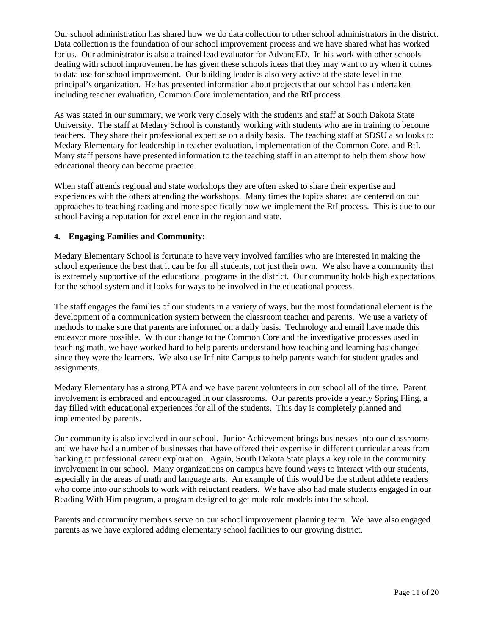Our school administration has shared how we do data collection to other school administrators in the district. Data collection is the foundation of our school improvement process and we have shared what has worked for us. Our administrator is also a trained lead evaluator for AdvancED. In his work with other schools dealing with school improvement he has given these schools ideas that they may want to try when it comes to data use for school improvement. Our building leader is also very active at the state level in the principal's organization. He has presented information about projects that our school has undertaken including teacher evaluation, Common Core implementation, and the RtI process.

As was stated in our summary, we work very closely with the students and staff at South Dakota State University. The staff at Medary School is constantly working with students who are in training to become teachers. They share their professional expertise on a daily basis. The teaching staff at SDSU also looks to Medary Elementary for leadership in teacher evaluation, implementation of the Common Core, and RtI. Many staff persons have presented information to the teaching staff in an attempt to help them show how educational theory can become practice.

When staff attends regional and state workshops they are often asked to share their expertise and experiences with the others attending the workshops. Many times the topics shared are centered on our approaches to teaching reading and more specifically how we implement the RtI process. This is due to our school having a reputation for excellence in the region and state.

## **4. Engaging Families and Community:**

Medary Elementary School is fortunate to have very involved families who are interested in making the school experience the best that it can be for all students, not just their own. We also have a community that is extremely supportive of the educational programs in the district. Our community holds high expectations for the school system and it looks for ways to be involved in the educational process.

The staff engages the families of our students in a variety of ways, but the most foundational element is the development of a communication system between the classroom teacher and parents. We use a variety of methods to make sure that parents are informed on a daily basis. Technology and email have made this endeavor more possible. With our change to the Common Core and the investigative processes used in teaching math, we have worked hard to help parents understand how teaching and learning has changed since they were the learners. We also use Infinite Campus to help parents watch for student grades and assignments.

Medary Elementary has a strong PTA and we have parent volunteers in our school all of the time. Parent involvement is embraced and encouraged in our classrooms. Our parents provide a yearly Spring Fling, a day filled with educational experiences for all of the students. This day is completely planned and implemented by parents.

Our community is also involved in our school. Junior Achievement brings businesses into our classrooms and we have had a number of businesses that have offered their expertise in different curricular areas from banking to professional career exploration. Again, South Dakota State plays a key role in the community involvement in our school. Many organizations on campus have found ways to interact with our students, especially in the areas of math and language arts. An example of this would be the student athlete readers who come into our schools to work with reluctant readers. We have also had male students engaged in our Reading With Him program, a program designed to get male role models into the school.

Parents and community members serve on our school improvement planning team. We have also engaged parents as we have explored adding elementary school facilities to our growing district.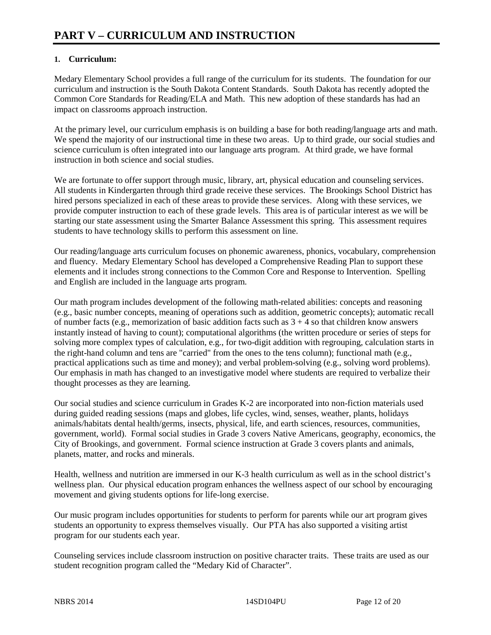# **1. Curriculum:**

Medary Elementary School provides a full range of the curriculum for its students. The foundation for our curriculum and instruction is the South Dakota Content Standards. South Dakota has recently adopted the Common Core Standards for Reading/ELA and Math. This new adoption of these standards has had an impact on classrooms approach instruction.

At the primary level, our curriculum emphasis is on building a base for both reading/language arts and math. We spend the majority of our instructional time in these two areas. Up to third grade, our social studies and science curriculum is often integrated into our language arts program. At third grade, we have formal instruction in both science and social studies.

We are fortunate to offer support through music, library, art, physical education and counseling services. All students in Kindergarten through third grade receive these services. The Brookings School District has hired persons specialized in each of these areas to provide these services. Along with these services, we provide computer instruction to each of these grade levels. This area is of particular interest as we will be starting our state assessment using the Smarter Balance Assessment this spring. This assessment requires students to have technology skills to perform this assessment on line.

Our reading/language arts curriculum focuses on phonemic awareness, phonics, vocabulary, comprehension and fluency. Medary Elementary School has developed a Comprehensive Reading Plan to support these elements and it includes strong connections to the Common Core and Response to Intervention. Spelling and English are included in the language arts program.

Our math program includes development of the following math-related abilities: concepts and reasoning (e.g., basic number concepts, meaning of operations such as addition, geometric concepts); automatic recall of number facts (e.g., memorization of basic addition facts such as  $3 + 4$  so that children know answers instantly instead of having to count); computational algorithms (the written procedure or series of steps for solving more complex types of calculation, e.g., for two-digit addition with regrouping, calculation starts in the right-hand column and tens are "carried" from the ones to the tens column); functional math (e.g., practical applications such as time and money); and verbal problem-solving (e.g., solving word problems). Our emphasis in math has changed to an investigative model where students are required to verbalize their thought processes as they are learning.

Our social studies and science curriculum in Grades K-2 are incorporated into non-fiction materials used during guided reading sessions (maps and globes, life cycles, wind, senses, weather, plants, holidays animals/habitats dental health/germs, insects, physical, life, and earth sciences, resources, communities, government, world). Formal social studies in Grade 3 covers Native Americans, geography, economics, the City of Brookings, and government. Formal science instruction at Grade 3 covers plants and animals, planets, matter, and rocks and minerals.

Health, wellness and nutrition are immersed in our K-3 health curriculum as well as in the school district's wellness plan. Our physical education program enhances the wellness aspect of our school by encouraging movement and giving students options for life-long exercise.

Our music program includes opportunities for students to perform for parents while our art program gives students an opportunity to express themselves visually. Our PTA has also supported a visiting artist program for our students each year.

Counseling services include classroom instruction on positive character traits. These traits are used as our student recognition program called the "Medary Kid of Character".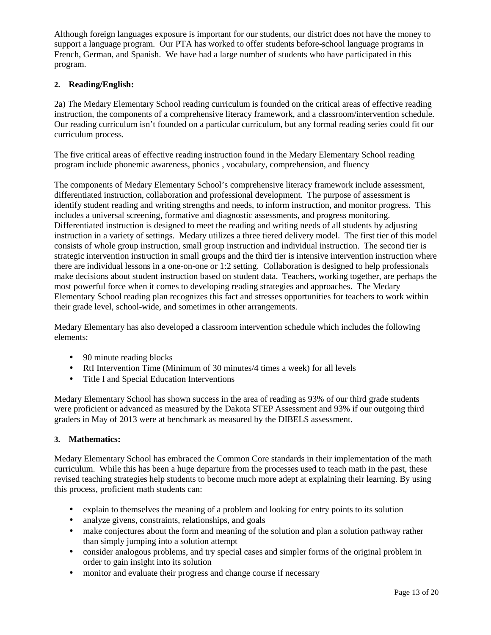Although foreign languages exposure is important for our students, our district does not have the money to support a language program. Our PTA has worked to offer students before-school language programs in French, German, and Spanish. We have had a large number of students who have participated in this program.

# **2. Reading/English:**

2a) The Medary Elementary School reading curriculum is founded on the critical areas of effective reading instruction, the components of a comprehensive literacy framework, and a classroom/intervention schedule. Our reading curriculum isn't founded on a particular curriculum, but any formal reading series could fit our curriculum process.

The five critical areas of effective reading instruction found in the Medary Elementary School reading program include phonemic awareness, phonics , vocabulary, comprehension, and fluency

The components of Medary Elementary School's comprehensive literacy framework include assessment, differentiated instruction, collaboration and professional development. The purpose of assessment is identify student reading and writing strengths and needs, to inform instruction, and monitor progress. This includes a universal screening, formative and diagnostic assessments, and progress monitoring. Differentiated instruction is designed to meet the reading and writing needs of all students by adjusting instruction in a variety of settings. Medary utilizes a three tiered delivery model. The first tier of this model consists of whole group instruction, small group instruction and individual instruction. The second tier is strategic intervention instruction in small groups and the third tier is intensive intervention instruction where there are individual lessons in a one-on-one or 1:2 setting. Collaboration is designed to help professionals make decisions about student instruction based on student data. Teachers, working together, are perhaps the most powerful force when it comes to developing reading strategies and approaches. The Medary Elementary School reading plan recognizes this fact and stresses opportunities for teachers to work within their grade level, school-wide, and sometimes in other arrangements.

Medary Elementary has also developed a classroom intervention schedule which includes the following elements:

- 90 minute reading blocks
- RtI Intervention Time (Minimum of 30 minutes/4 times a week) for all levels
- Title I and Special Education Interventions

Medary Elementary School has shown success in the area of reading as 93% of our third grade students were proficient or advanced as measured by the Dakota STEP Assessment and 93% if our outgoing third graders in May of 2013 were at benchmark as measured by the DIBELS assessment.

## **3. Mathematics:**

Medary Elementary School has embraced the Common Core standards in their implementation of the math curriculum. While this has been a huge departure from the processes used to teach math in the past, these revised teaching strategies help students to become much more adept at explaining their learning. By using this process, proficient math students can:

- explain to themselves the meaning of a problem and looking for entry points to its solution
- analyze givens, constraints, relationships, and goals
- make conjectures about the form and meaning of the solution and plan a solution pathway rather than simply jumping into a solution attempt
- consider analogous problems, and try special cases and simpler forms of the original problem in order to gain insight into its solution
- monitor and evaluate their progress and change course if necessary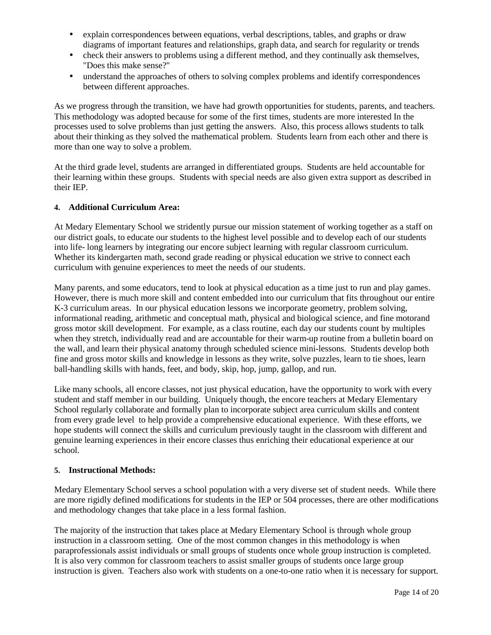- explain correspondences between equations, verbal descriptions, tables, and graphs or draw diagrams of important features and relationships, graph data, and search for regularity or trends
- check their answers to problems using a different method, and they continually ask themselves, "Does this make sense?"
- understand the approaches of others to solving complex problems and identify correspondences between different approaches.

As we progress through the transition, we have had growth opportunities for students, parents, and teachers. This methodology was adopted because for some of the first times, students are more interested In the processes used to solve problems than just getting the answers. Also, this process allows students to talk about their thinking as they solved the mathematical problem. Students learn from each other and there is more than one way to solve a problem.

At the third grade level, students are arranged in differentiated groups. Students are held accountable for their learning within these groups. Students with special needs are also given extra support as described in their IEP.

## **4. Additional Curriculum Area:**

At Medary Elementary School we stridently pursue our mission statement of working together as a staff on our district goals, to educate our students to the highest level possible and to develop each of our students into life- long learners by integrating our encore subject learning with regular classroom curriculum. Whether its kindergarten math, second grade reading or physical education we strive to connect each curriculum with genuine experiences to meet the needs of our students.

Many parents, and some educators, tend to look at physical education as a time just to run and play games. However, there is much more skill and content embedded into our curriculum that fits throughout our entire K-3 curriculum areas. In our physical education lessons we incorporate geometry, problem solving, informational reading, arithmetic and conceptual math, physical and biological science, and fine motorand gross motor skill development. For example, as a class routine, each day our students count by multiples when they stretch, individually read and are accountable for their warm-up routine from a bulletin board on the wall, and learn their physical anatomy through scheduled science mini-lessons. Students develop both fine and gross motor skills and knowledge in lessons as they write, solve puzzles, learn to tie shoes, learn ball-handling skills with hands, feet, and body, skip, hop, jump, gallop, and run.

Like many schools, all encore classes, not just physical education, have the opportunity to work with every student and staff member in our building. Uniquely though, the encore teachers at Medary Elementary School regularly collaborate and formally plan to incorporate subject area curriculum skills and content from every grade level to help provide a comprehensive educational experience. With these efforts, we hope students will connect the skills and curriculum previously taught in the classroom with different and genuine learning experiences in their encore classes thus enriching their educational experience at our school.

#### **5. Instructional Methods:**

Medary Elementary School serves a school population with a very diverse set of student needs. While there are more rigidly defined modifications for students in the IEP or 504 processes, there are other modifications and methodology changes that take place in a less formal fashion.

The majority of the instruction that takes place at Medary Elementary School is through whole group instruction in a classroom setting. One of the most common changes in this methodology is when paraprofessionals assist individuals or small groups of students once whole group instruction is completed. It is also very common for classroom teachers to assist smaller groups of students once large group instruction is given. Teachers also work with students on a one-to-one ratio when it is necessary for support.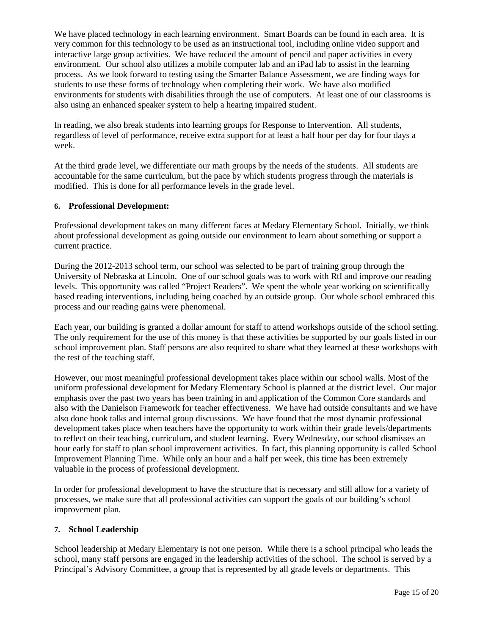We have placed technology in each learning environment. Smart Boards can be found in each area. It is very common for this technology to be used as an instructional tool, including online video support and interactive large group activities. We have reduced the amount of pencil and paper activities in every environment. Our school also utilizes a mobile computer lab and an iPad lab to assist in the learning process. As we look forward to testing using the Smarter Balance Assessment, we are finding ways for students to use these forms of technology when completing their work. We have also modified environments for students with disabilities through the use of computers. At least one of our classrooms is also using an enhanced speaker system to help a hearing impaired student.

In reading, we also break students into learning groups for Response to Intervention. All students, regardless of level of performance, receive extra support for at least a half hour per day for four days a week.

At the third grade level, we differentiate our math groups by the needs of the students. All students are accountable for the same curriculum, but the pace by which students progress through the materials is modified. This is done for all performance levels in the grade level.

## **6. Professional Development:**

Professional development takes on many different faces at Medary Elementary School. Initially, we think about professional development as going outside our environment to learn about something or support a current practice.

During the 2012-2013 school term, our school was selected to be part of training group through the University of Nebraska at Lincoln. One of our school goals was to work with RtI and improve our reading levels. This opportunity was called "Project Readers". We spent the whole year working on scientifically based reading interventions, including being coached by an outside group. Our whole school embraced this process and our reading gains were phenomenal.

Each year, our building is granted a dollar amount for staff to attend workshops outside of the school setting. The only requirement for the use of this money is that these activities be supported by our goals listed in our school improvement plan. Staff persons are also required to share what they learned at these workshops with the rest of the teaching staff.

However, our most meaningful professional development takes place within our school walls. Most of the uniform professional development for Medary Elementary School is planned at the district level. Our major emphasis over the past two years has been training in and application of the Common Core standards and also with the Danielson Framework for teacher effectiveness. We have had outside consultants and we have also done book talks and internal group discussions. We have found that the most dynamic professional development takes place when teachers have the opportunity to work within their grade levels/departments to reflect on their teaching, curriculum, and student learning. Every Wednesday, our school dismisses an hour early for staff to plan school improvement activities. In fact, this planning opportunity is called School Improvement Planning Time. While only an hour and a half per week, this time has been extremely valuable in the process of professional development.

In order for professional development to have the structure that is necessary and still allow for a variety of processes, we make sure that all professional activities can support the goals of our building's school improvement plan.

## **7. School Leadership**

School leadership at Medary Elementary is not one person. While there is a school principal who leads the school, many staff persons are engaged in the leadership activities of the school. The school is served by a Principal's Advisory Committee, a group that is represented by all grade levels or departments. This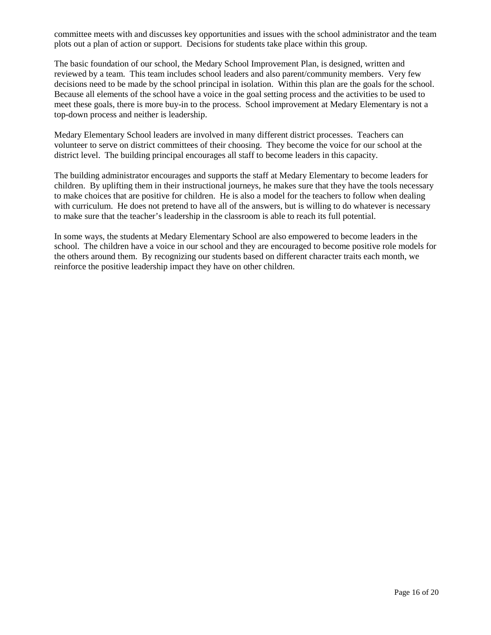committee meets with and discusses key opportunities and issues with the school administrator and the team plots out a plan of action or support. Decisions for students take place within this group.

The basic foundation of our school, the Medary School Improvement Plan, is designed, written and reviewed by a team. This team includes school leaders and also parent/community members. Very few decisions need to be made by the school principal in isolation. Within this plan are the goals for the school. Because all elements of the school have a voice in the goal setting process and the activities to be used to meet these goals, there is more buy-in to the process. School improvement at Medary Elementary is not a top-down process and neither is leadership.

Medary Elementary School leaders are involved in many different district processes. Teachers can volunteer to serve on district committees of their choosing. They become the voice for our school at the district level. The building principal encourages all staff to become leaders in this capacity.

The building administrator encourages and supports the staff at Medary Elementary to become leaders for children. By uplifting them in their instructional journeys, he makes sure that they have the tools necessary to make choices that are positive for children. He is also a model for the teachers to follow when dealing with curriculum. He does not pretend to have all of the answers, but is willing to do whatever is necessary to make sure that the teacher's leadership in the classroom is able to reach its full potential.

In some ways, the students at Medary Elementary School are also empowered to become leaders in the school. The children have a voice in our school and they are encouraged to become positive role models for the others around them. By recognizing our students based on different character traits each month, we reinforce the positive leadership impact they have on other children.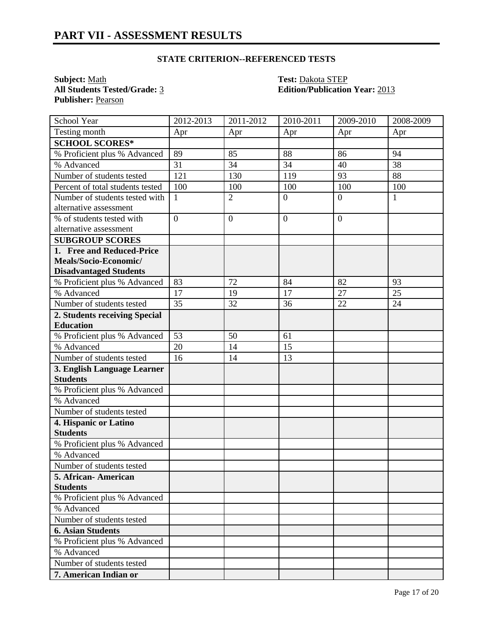# **STATE CRITERION--REFERENCED TESTS**

**Subject:** <u>Math</u><br> **All Students Tested/Grade:** <u>3</u> **Test: Dakota STEP**<br> **Edition/Publication** Publisher: Pearson

**All Students Tested/Grade:** 3 **Edition/Publication Year:** 2013

| School Year                      | 2012-2013      | 2011-2012      | 2010-2011       | 2009-2010      | 2008-2009    |
|----------------------------------|----------------|----------------|-----------------|----------------|--------------|
| Testing month                    | Apr            | Apr            | Apr             | Apr            | Apr          |
| <b>SCHOOL SCORES*</b>            |                |                |                 |                |              |
| % Proficient plus % Advanced     | 89             | 85             | 88              | 86             | 94           |
| % Advanced                       | 31             | 34             | $\overline{34}$ | 40             | 38           |
| Number of students tested        | 121            | 130            | 119             | 93             | 88           |
| Percent of total students tested | 100            | 100            | 100             | 100            | 100          |
| Number of students tested with   | $\mathbf{1}$   | $\overline{2}$ | $\overline{0}$  | $\overline{0}$ | $\mathbf{1}$ |
| alternative assessment           |                |                |                 |                |              |
| % of students tested with        | $\overline{0}$ | $\overline{0}$ | $\overline{0}$  | $\theta$       |              |
| alternative assessment           |                |                |                 |                |              |
| <b>SUBGROUP SCORES</b>           |                |                |                 |                |              |
| 1. Free and Reduced-Price        |                |                |                 |                |              |
| Meals/Socio-Economic/            |                |                |                 |                |              |
| <b>Disadvantaged Students</b>    |                |                |                 |                |              |
| % Proficient plus % Advanced     | 83             | 72             | 84              | 82             | 93           |
| % Advanced                       | 17             | 19             | 17              | 27             | 25           |
| Number of students tested        | 35             | 32             | 36              | 22             | 24           |
| 2. Students receiving Special    |                |                |                 |                |              |
| <b>Education</b>                 |                |                |                 |                |              |
| % Proficient plus % Advanced     | 53             | 50             | 61              |                |              |
| % Advanced                       | 20             | 14             | 15              |                |              |
| Number of students tested        | 16             | 14             | 13              |                |              |
| 3. English Language Learner      |                |                |                 |                |              |
| <b>Students</b>                  |                |                |                 |                |              |
| % Proficient plus % Advanced     |                |                |                 |                |              |
| % Advanced                       |                |                |                 |                |              |
| Number of students tested        |                |                |                 |                |              |
| 4. Hispanic or Latino            |                |                |                 |                |              |
| <b>Students</b>                  |                |                |                 |                |              |
| % Proficient plus % Advanced     |                |                |                 |                |              |
| % Advanced                       |                |                |                 |                |              |
| Number of students tested        |                |                |                 |                |              |
| 5. African-American              |                |                |                 |                |              |
| <b>Students</b>                  |                |                |                 |                |              |
| % Proficient plus % Advanced     |                |                |                 |                |              |
| % Advanced                       |                |                |                 |                |              |
| Number of students tested        |                |                |                 |                |              |
| <b>6. Asian Students</b>         |                |                |                 |                |              |
| % Proficient plus % Advanced     |                |                |                 |                |              |
| % Advanced                       |                |                |                 |                |              |
| Number of students tested        |                |                |                 |                |              |
| 7. American Indian or            |                |                |                 |                |              |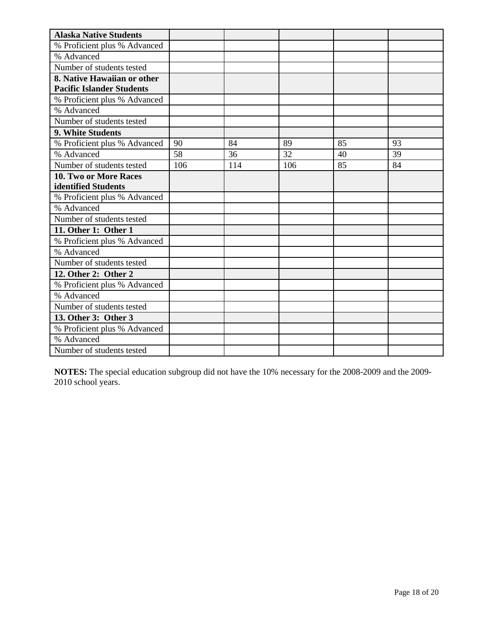| <b>Alaska Native Students</b>    |     |     |     |    |    |
|----------------------------------|-----|-----|-----|----|----|
| % Proficient plus % Advanced     |     |     |     |    |    |
| % Advanced                       |     |     |     |    |    |
| Number of students tested        |     |     |     |    |    |
| 8. Native Hawaiian or other      |     |     |     |    |    |
| <b>Pacific Islander Students</b> |     |     |     |    |    |
| % Proficient plus % Advanced     |     |     |     |    |    |
| % Advanced                       |     |     |     |    |    |
| Number of students tested        |     |     |     |    |    |
| 9. White Students                |     |     |     |    |    |
| % Proficient plus % Advanced     | 90  | 84  | 89  | 85 | 93 |
| % Advanced                       | 58  | 36  | 32  | 40 | 39 |
| Number of students tested        | 106 | 114 | 106 | 85 | 84 |
| 10. Two or More Races            |     |     |     |    |    |
| identified Students              |     |     |     |    |    |
| % Proficient plus % Advanced     |     |     |     |    |    |
| % Advanced                       |     |     |     |    |    |
| Number of students tested        |     |     |     |    |    |
| 11. Other 1: Other 1             |     |     |     |    |    |
| % Proficient plus % Advanced     |     |     |     |    |    |
| % Advanced                       |     |     |     |    |    |
| Number of students tested        |     |     |     |    |    |
| 12. Other 2: Other 2             |     |     |     |    |    |
| % Proficient plus % Advanced     |     |     |     |    |    |
| % Advanced                       |     |     |     |    |    |
| Number of students tested        |     |     |     |    |    |
| 13. Other 3: Other 3             |     |     |     |    |    |
| % Proficient plus % Advanced     |     |     |     |    |    |
| % Advanced                       |     |     |     |    |    |
| Number of students tested        |     |     |     |    |    |

**NOTES:** The special education subgroup did not have the 10% necessary for the 2008-2009 and the 2009- 2010 school years.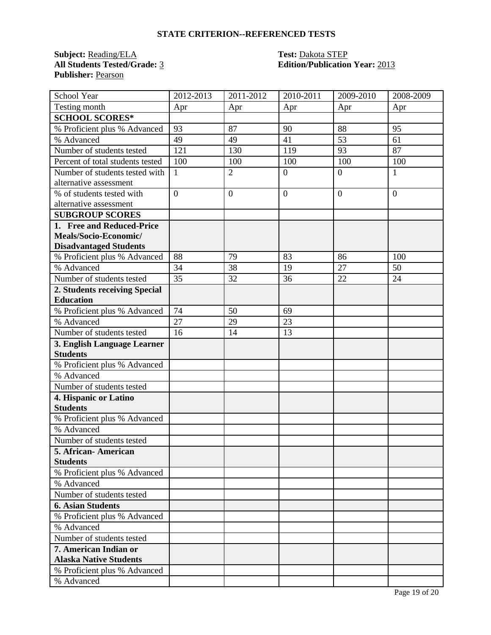# **STATE CRITERION--REFERENCED TESTS**

**Subject:** <u>Reading/ELA</u> **Test:** <u>Dakota STEP</u><br> **All Students Tested/Grade:** <u>3</u> **Calcular Edition/Publication Publisher:** Pearson

# **Edition/Publication Year: 2013**

| School Year                      | 2012-2013       | $2011 - 2012$  | 2010-2011      | 2009-2010      | 2008-2009      |
|----------------------------------|-----------------|----------------|----------------|----------------|----------------|
| Testing month                    | Apr             | Apr            | Apr            | Apr            | Apr            |
| <b>SCHOOL SCORES*</b>            |                 |                |                |                |                |
| % Proficient plus % Advanced     | 93              | 87             | 90             | 88             | 95             |
| % Advanced                       | 49              | 49             | 41             | 53             | 61             |
| Number of students tested        | 121             | 130            | 119            | 93             | 87             |
| Percent of total students tested | 100             | 100            | 100            | 100            | 100            |
| Number of students tested with   | 1               | $\overline{2}$ | $\mathbf{0}$   | $\overline{0}$ | 1              |
| alternative assessment           |                 |                |                |                |                |
| % of students tested with        | $\overline{0}$  | $\overline{0}$ | $\overline{0}$ | $\overline{0}$ | $\overline{0}$ |
| alternative assessment           |                 |                |                |                |                |
| <b>SUBGROUP SCORES</b>           |                 |                |                |                |                |
| 1. Free and Reduced-Price        |                 |                |                |                |                |
| Meals/Socio-Economic/            |                 |                |                |                |                |
| <b>Disadvantaged Students</b>    |                 |                |                |                |                |
| % Proficient plus % Advanced     | 88              | 79             | 83             | 86             | 100            |
| % Advanced                       | 34              | 38             | 19             | 27             | 50             |
| Number of students tested        | 35              | 32             | 36             | 22             | 24             |
| 2. Students receiving Special    |                 |                |                |                |                |
| <b>Education</b>                 |                 |                |                |                |                |
| % Proficient plus % Advanced     | 74              | 50             | 69             |                |                |
| % Advanced                       | $\overline{27}$ | 29             | 23             |                |                |
| Number of students tested        | 16              | 14             | 13             |                |                |
| 3. English Language Learner      |                 |                |                |                |                |
| <b>Students</b>                  |                 |                |                |                |                |
| % Proficient plus % Advanced     |                 |                |                |                |                |
| % Advanced                       |                 |                |                |                |                |
| Number of students tested        |                 |                |                |                |                |
| 4. Hispanic or Latino            |                 |                |                |                |                |
| <b>Students</b>                  |                 |                |                |                |                |
| % Proficient plus % Advanced     |                 |                |                |                |                |
| % Advanced                       |                 |                |                |                |                |
| Number of students tested        |                 |                |                |                |                |
| 5. African- American             |                 |                |                |                |                |
| <b>Students</b>                  |                 |                |                |                |                |
| % Proficient plus % Advanced     |                 |                |                |                |                |
| % Advanced                       |                 |                |                |                |                |
| Number of students tested        |                 |                |                |                |                |
| <b>6. Asian Students</b>         |                 |                |                |                |                |
| % Proficient plus % Advanced     |                 |                |                |                |                |
| % Advanced                       |                 |                |                |                |                |
| Number of students tested        |                 |                |                |                |                |
| 7. American Indian or            |                 |                |                |                |                |
| <b>Alaska Native Students</b>    |                 |                |                |                |                |
| % Proficient plus % Advanced     |                 |                |                |                |                |
| % Advanced                       |                 |                |                |                |                |